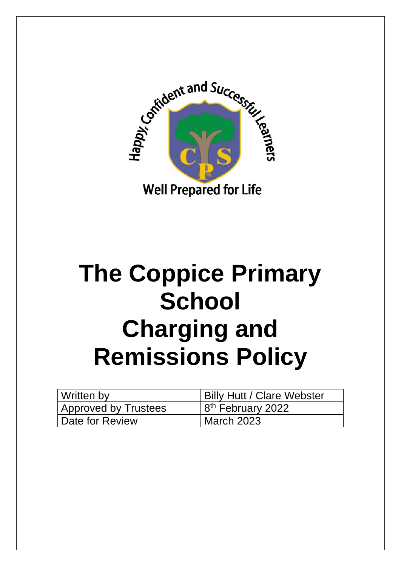

# **The Coppice Primary School Charging and Remissions Policy**

| Written by                  | <b>Billy Hutt / Clare Webster</b> |
|-----------------------------|-----------------------------------|
| <b>Approved by Trustees</b> | $18th$ February 2022              |
| Date for Review             | March 2023                        |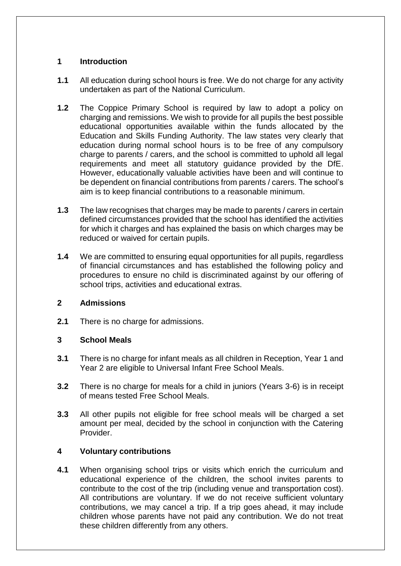## **1 Introduction**

- **1.1** All education during school hours is free. We do not charge for any activity undertaken as part of the National Curriculum.
- **1.2** The Coppice Primary School is required by law to adopt a policy on charging and remissions. We wish to provide for all pupils the best possible educational opportunities available within the funds allocated by the Education and Skills Funding Authority. The law states very clearly that education during normal school hours is to be free of any compulsory charge to parents / carers, and the school is committed to uphold all legal requirements and meet all statutory guidance provided by the DfE. However, educationally valuable activities have been and will continue to be dependent on financial contributions from parents / carers. The school's aim is to keep financial contributions to a reasonable minimum.
- **1.3** The law recognises that charges may be made to parents / carers in certain defined circumstances provided that the school has identified the activities for which it charges and has explained the basis on which charges may be reduced or waived for certain pupils.
- **1.4** We are committed to ensuring equal opportunities for all pupils, regardless of financial circumstances and has established the following policy and procedures to ensure no child is discriminated against by our offering of school trips, activities and educational extras.

#### **2 Admissions**

**2.1** There is no charge for admissions.

# **3 School Meals**

- **3.1** There is no charge for infant meals as all children in Reception, Year 1 and Year 2 are eligible to Universal Infant Free School Meals.
- **3.2** There is no charge for meals for a child in juniors (Years 3-6) is in receipt of means tested Free School Meals.
- **3.3** All other pupils not eligible for free school meals will be charged a set amount per meal, decided by the school in conjunction with the Catering Provider.

#### **4 Voluntary contributions**

**4.1** When organising school trips or visits which enrich the curriculum and educational experience of the children, the school invites parents to contribute to the cost of the trip (including venue and transportation cost). All contributions are voluntary. If we do not receive sufficient voluntary contributions, we may cancel a trip. If a trip goes ahead, it may include children whose parents have not paid any contribution. We do not treat these children differently from any others.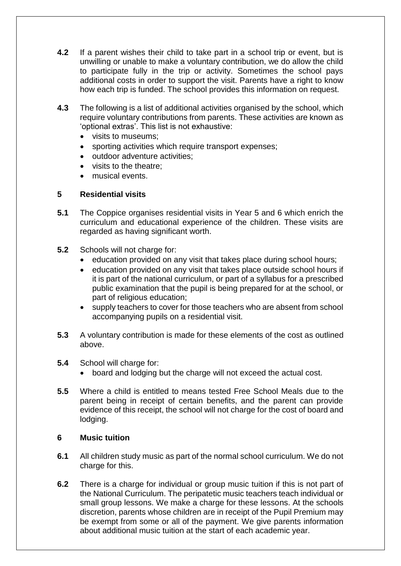- **4.2** If a parent wishes their child to take part in a school trip or event, but is unwilling or unable to make a voluntary contribution, we do allow the child to participate fully in the trip or activity. Sometimes the school pays additional costs in order to support the visit. Parents have a right to know how each trip is funded. The school provides this information on request.
- **4.3** The following is a list of additional activities organised by the school, which require voluntary contributions from parents. These activities are known as 'optional extras'. This list is not exhaustive:
	- visits to museums;
	- sporting activities which require transport expenses;
	- outdoor adventure activities;
	- visits to the theatre;
	- musical events.

## **5 Residential visits**

- **5.1** The Coppice organises residential visits in Year 5 and 6 which enrich the curriculum and educational experience of the children. These visits are regarded as having significant worth.
- **5.2** Schools will not charge for:
	- education provided on any visit that takes place during school hours;
	- education provided on any visit that takes place outside school hours if it is part of the national curriculum, or part of a syllabus for a prescribed public examination that the pupil is being prepared for at the school, or part of religious education;
	- supply teachers to cover for those teachers who are absent from school accompanying pupils on a residential visit.
- **5.3** A voluntary contribution is made for these elements of the cost as outlined above.
- **5.4** School will charge for:
	- board and lodging but the charge will not exceed the actual cost.
- **5.5** Where a child is entitled to means tested Free School Meals due to the parent being in receipt of certain benefits, and the parent can provide evidence of this receipt, the school will not charge for the cost of board and lodging.

#### **6 Music tuition**

- **6.1** All children study music as part of the normal school curriculum. We do not charge for this.
- **6.2** There is a charge for individual or group music tuition if this is not part of the National Curriculum. The peripatetic music teachers teach individual or small group lessons. We make a charge for these lessons. At the schools discretion, parents whose children are in receipt of the Pupil Premium may be exempt from some or all of the payment. We give parents information about additional music tuition at the start of each academic year.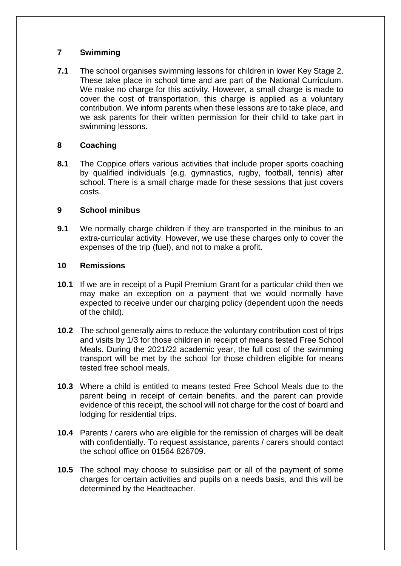# **7 Swimming**

**7.1** The school organises swimming lessons for children in lower Key Stage 2. These take place in school time and are part of the National Curriculum. We make no charge for this activity. However, a small charge is made to cover the cost of transportation, this charge is applied as a voluntary contribution. We inform parents when these lessons are to take place, and we ask parents for their written permission for their child to take part in swimming lessons.

## **8 Coaching**

**8.1** The Coppice offers various activities that include proper sports coaching by qualified individuals (e.g. gymnastics, rugby, football, tennis) after school. There is a small charge made for these sessions that just covers costs.

## **9 School minibus**

**9.1** We normally charge children if they are transported in the minibus to an extra-curricular activity. However, we use these charges only to cover the expenses of the trip (fuel), and not to make a profit.

#### **10 Remissions**

- **10.1** If we are in receipt of a Pupil Premium Grant for a particular child then we may make an exception on a payment that we would normally have expected to receive under our charging policy (dependent upon the needs of the child).
- **10.2** The school generally aims to reduce the voluntary contribution cost of trips and visits by 1/3 for those children in receipt of means tested Free School Meals. During the 2021/22 academic year, the full cost of the swimming transport will be met by the school for those children eligible for means tested free school meals.
- **10.3** Where a child is entitled to means tested Free School Meals due to the parent being in receipt of certain benefits, and the parent can provide evidence of this receipt, the school will not charge for the cost of board and lodging for residential trips.
- **10.4** Parents / carers who are eligible for the remission of charges will be dealt with confidentially. To request assistance, parents / carers should contact the school office on 01564 826709.
- **10.5** The school may choose to subsidise part or all of the payment of some charges for certain activities and pupils on a needs basis, and this will be determined by the Headteacher.